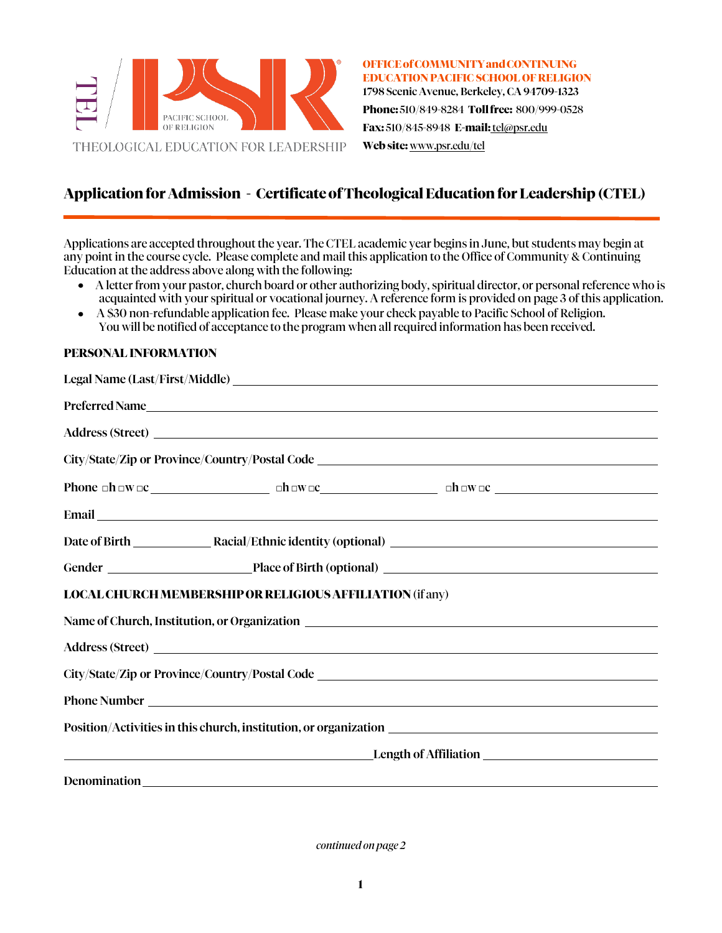

**OFFICEofCOMMUNITYandCONTINUING EDUCATION PACIFIC SCHOOL OF RELIGION** 1798 Scenic Avenue, Berkeley, CA 94709-1323 **Phone:** 510/849-8284 **Tollfree:** 800/999-0528

**Fax:** 510/845-8948 **E-mail:** [tel@psr.edu](mailto:tel@psr.edu)

**Web site:** [www.psr.edu/tel](http://www.psr.edu/tel)

## **ApplicationforAdmission - Certificate of TheologicalEducation for Leadership (CTEL)**

Applications are accepted throughout the year. The CTEL academic year begins in June, but students may begin at any point in the course cycle. Please complete and mail this application to the Office of Community & Continuing Education at the address above along with the following:

- A letter from your pastor, church board or other authorizing body, spiritual director, or personal reference who is acquainted with your spiritual or vocational journey. A reference form is provided on page 3 of this application.
- A \$30 non-refundable application fee. Please make your check payable to Pacific School of Religion.  $\bullet$ You will be notified of acceptance to the program when all required information has been received.

#### **PERSONAL INFORMATION**

| Preferred Name                                                                                                                                                                                                                      |  |  |  |
|-------------------------------------------------------------------------------------------------------------------------------------------------------------------------------------------------------------------------------------|--|--|--|
|                                                                                                                                                                                                                                     |  |  |  |
|                                                                                                                                                                                                                                     |  |  |  |
|                                                                                                                                                                                                                                     |  |  |  |
| Email <u>Executive Construction and the construction</u> and the construction of the construction of the construction of the construction of the construction of the construction of the construction of the construction of the co |  |  |  |
|                                                                                                                                                                                                                                     |  |  |  |
|                                                                                                                                                                                                                                     |  |  |  |
| <b>LOCAL CHURCH MEMBERSHIP OR RELIGIOUS AFFILIATION (if any)</b>                                                                                                                                                                    |  |  |  |
|                                                                                                                                                                                                                                     |  |  |  |
| Address (Street)                                                                                                                                                                                                                    |  |  |  |
|                                                                                                                                                                                                                                     |  |  |  |
| Phone Number Lawrence and the contract of the contract of the contract of the contract of the contract of the contract of the contract of the contract of the contract of the contract of the contract of the contract of the       |  |  |  |
| Position/Activities in this church, institution, or organization ___________________________________                                                                                                                                |  |  |  |
| <u>Length of Affiliation</u>                                                                                                                                                                                                        |  |  |  |
| Denomination<br><u>Denomination</u>                                                                                                                                                                                                 |  |  |  |

*continued on page 2*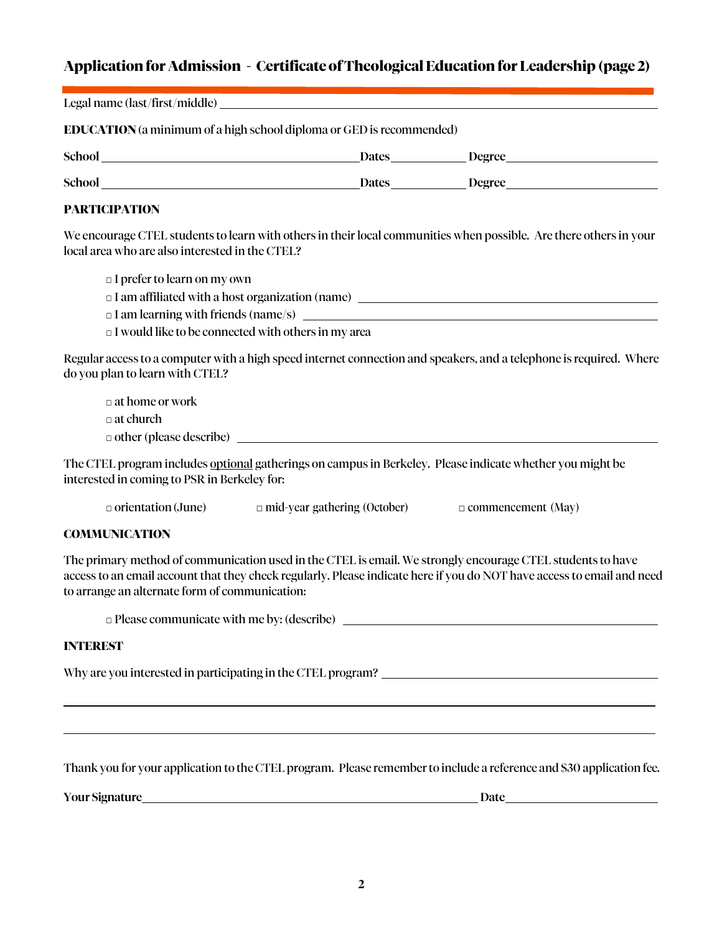# **Applicationfor Admission - Certificate of TheologicalEducation for Leadership (page 2)**

| <b>EDUCATION</b> (a minimum of a high school diploma or GED is recommended) |                                                                                         |                                                                                                                                                                                                                                        |
|-----------------------------------------------------------------------------|-----------------------------------------------------------------------------------------|----------------------------------------------------------------------------------------------------------------------------------------------------------------------------------------------------------------------------------------|
|                                                                             |                                                                                         | School Dates Degree                                                                                                                                                                                                                    |
|                                                                             |                                                                                         | School Dates Degree                                                                                                                                                                                                                    |
| <b>PARTICIPATION</b>                                                        |                                                                                         |                                                                                                                                                                                                                                        |
| local area who are also interested in the CTEL?                             |                                                                                         | We encourage CTEL students to learn with others in their local communities when possible. Are there others in your                                                                                                                     |
| $\Box$ I prefer to learn on my own                                          |                                                                                         |                                                                                                                                                                                                                                        |
|                                                                             |                                                                                         |                                                                                                                                                                                                                                        |
|                                                                             |                                                                                         | $\Box$ I am learning with friends (name/s) $\Box$                                                                                                                                                                                      |
| I would like to be connected with others in my area                         |                                                                                         |                                                                                                                                                                                                                                        |
| do you plan to learn with CTEL?                                             |                                                                                         | Regular access to a computer with a high speed internet connection and speakers, and a telephone is required. Where                                                                                                                    |
| $\Box$ at home or work                                                      |                                                                                         |                                                                                                                                                                                                                                        |
| $\Box$ at church                                                            |                                                                                         |                                                                                                                                                                                                                                        |
|                                                                             | $\Box$ other (please describe) $\Box$                                                   |                                                                                                                                                                                                                                        |
| interested in coming to PSR in Berkeley for:                                |                                                                                         | The CTEL program includes optional gatherings on campus in Berkeley. Please indicate whether you might be                                                                                                                              |
|                                                                             | $\Box$ orientation (June) $\Box$ mid-year gathering (October) $\Box$ commencement (May) |                                                                                                                                                                                                                                        |
| <b>COMMUNICATION</b>                                                        |                                                                                         |                                                                                                                                                                                                                                        |
| to arrange an alternate form of communication:                              |                                                                                         | The primary method of communication used in the CTEL is email. We strongly encourage CTEL students to have<br>access to an email account that they check regularly. Please indicate here if you do NOT have access to email and need   |
|                                                                             |                                                                                         | $\Box$ Please communicate with me by: (describe)                                                                                                                                                                                       |
| <b>INTEREST</b>                                                             |                                                                                         |                                                                                                                                                                                                                                        |
|                                                                             |                                                                                         | Why are you interested in participating in the CTEL program?<br><u>Lettical contract and the contract of the contract of the contract of the contract of the contract of the contract of the contract of the contract of the contr</u> |
|                                                                             |                                                                                         | ,我们也不会有什么。""我们的人,我们也不会有什么?""我们的人,我们也不会有什么?""我们的人,我们也不会有什么?""我们的人,我们也不会有什么?""我们的人<br>,我们也不会有什么。""我们的人,我们也不会有什么?""我们的人,我们也不会有什么?""我们的人,我们也不会有什么?""我们的人,我们也不会有什么?""我们的人                                                                   |
|                                                                             |                                                                                         | Thank you for your application to the CTEL program. Please remember to include a reference and \$30 application fee.                                                                                                                   |
|                                                                             |                                                                                         |                                                                                                                                                                                                                                        |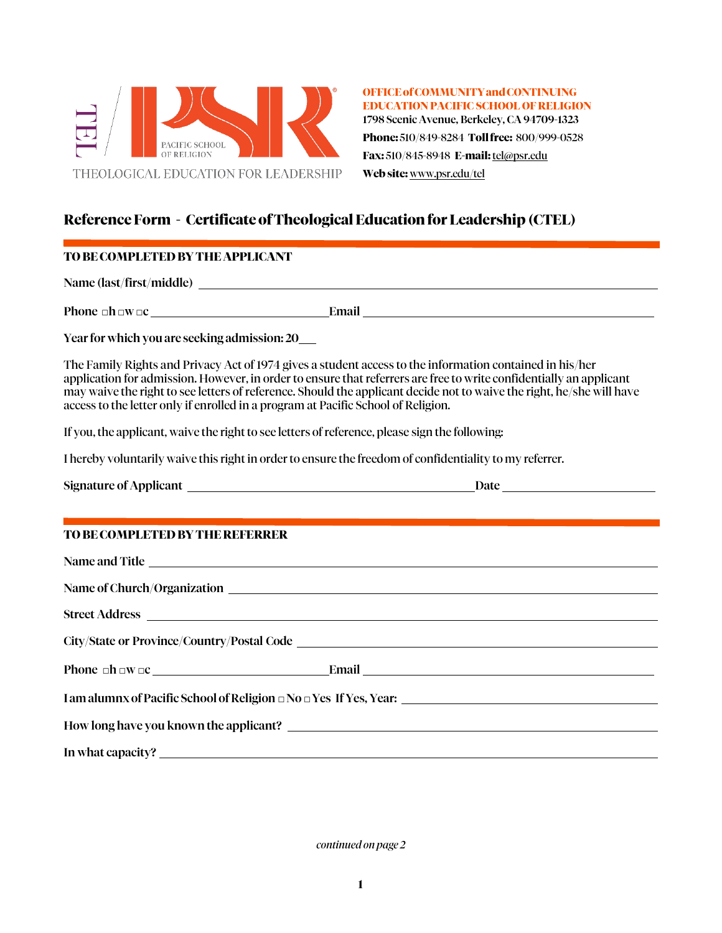

**OFFICEofCOMMUNITYandCONTINUING EDUCATION PACIFIC SCHOOL OF RELIGION** 1798 Scenic Avenue, Berkeley, CA 94709-1323 **Phone:** 510/849-8284 **Tollfree:** 800/999-0528 **Fax:** 510/845-8948 **E-mail:** [tel@psr.edu](mailto:tel@psr.edu) **Web site:** [www.psr.edu/tel](http://www.psr.edu/tel)

# **Reference Form - Certificate of Theological EducationforLeadership (CTEL)**

### **TO BECOMPLETED BY THEAPPLICANT**

Name (last/first/middle)

Phone  $\square$ h  $\square w \square c$  Email Email

Year for which you are seeking admission: 20

The Family Rights and Privacy Act of 1974 gives a student access to the information contained in his/her application for admission. However, in order to ensure that referrers are free to write confidentially an applicant may waive the right to see letters of reference. Should the applicant decide not to waive the right, he/she will have access to the letter only if enrolled in a program at Pacific School of Religion.

If you, the applicant, waive the right to see letters of reference, please sign the following:

I hereby voluntarily waive this right in order to ensure the freedom of confidentiality to my referrer.

| TO BE COMPLETED BY THE REFERRER                                              |  |  |  |
|------------------------------------------------------------------------------|--|--|--|
| Name and Title                                                               |  |  |  |
|                                                                              |  |  |  |
| Street Address                                                               |  |  |  |
|                                                                              |  |  |  |
|                                                                              |  |  |  |
| I am alumnx of Pacific School of Religion $\Box$ No $\Box$ Yes If Yes, Year: |  |  |  |
|                                                                              |  |  |  |
|                                                                              |  |  |  |

In what capacity?

*continued on page 2*